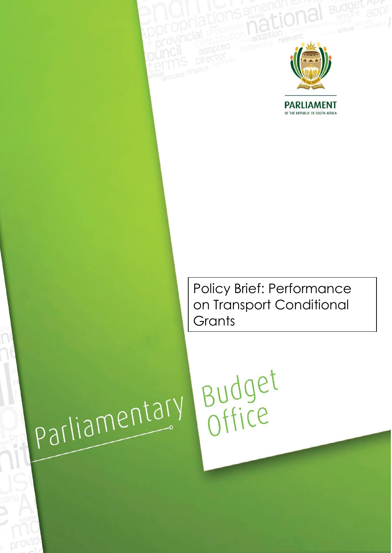

**PARLIAMENT**<br>OF THE REPUBLIC OF SOUTH AFRICA

Policy Brief: Performance on Transport Conditional **Grants** 

Budget

parliamentary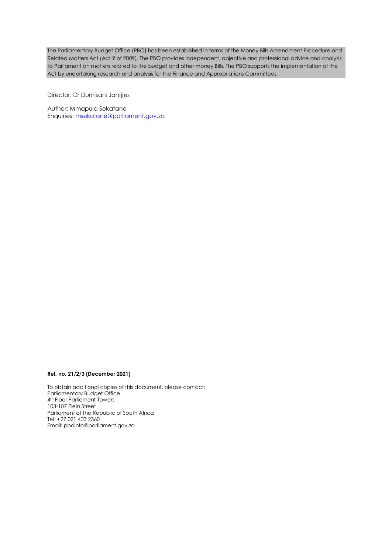The Parliamentary Budget Office (PBO) has been established in terms of the Money Bills Amendment Procedure and Related Matters Act (Act 9 of 2009). The PBO provides independent, objective and professional advice and analysis to Parliament on matters related to the budget and other money Bills. The PBO supports the implementation of the Act by undertaking research and analysis for the Finance and Appropriations Committees.

Director: Dr Dumisani Jantjies

Author: Mmapula Sekatane Enquiries[: msekatane@parliament.gov.za](mailto:msekatane@parliament.gov.za)

#### **Ref. no. 21/2/3 (December 2021)**

To obtain additional copies of this document, please contact: Parliamentary Budget Office 4th Floor Parliament Towers 103-107 Plein Street Parliament of the Republic of South Africa Tel: +27 021 403 2360 Email: [pboinfo@parliament.gov.za](mailto:pboinfo@parliament.gov.za)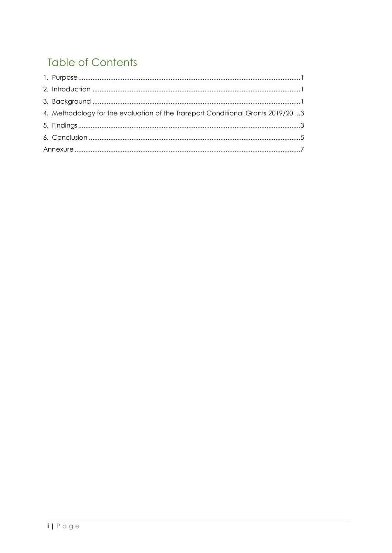# **Table of Contents**

| 4. Methodology for the evaluation of the Transport Conditional Grants 2019/20 3 |
|---------------------------------------------------------------------------------|
|                                                                                 |
|                                                                                 |
|                                                                                 |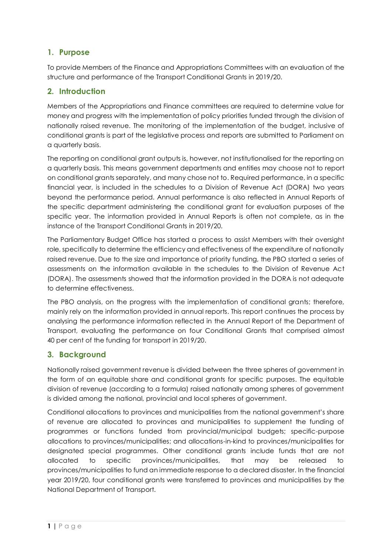## <span id="page-3-0"></span>**1. Purpose**

To provide Members of the Finance and Appropriations Committees with an evaluation of the structure and performance of the Transport Conditional Grants in 2019/20.

## <span id="page-3-1"></span>**2. Introduction**

Members of the Appropriations and Finance committees are required to determine value for money and progress with the implementation of policy priorities funded through the division of nationally raised revenue. The monitoring of the implementation of the budget, inclusive of conditional grants is part of the legislative process and reports are submitted to Parliament on a quarterly basis.

The reporting on conditional grant outputs is, however, not institutionalised for the reporting on a quarterly basis. This means government departments and entities may choose not to report on conditional grants separately, and many chose not to. Required performance, in a specific financial year, is included in the schedules to a Division of Revenue Act (DORA) two years beyond the performance period. Annual performance is also reflected in Annual Reports of the specific department administering the conditional grant for evaluation purposes of the specific year. The information provided in Annual Reports is often not complete, as in the instance of the Transport Conditional Grants in 2019/20.

The Parliamentary Budget Office has started a process to assist Members with their oversight role, specifically to determine the efficiency and effectiveness of the expenditure of nationally raised revenue. Due to the size and importance of priority funding, the PBO started a series of assessments on the information available in the schedules to the Division of Revenue Act (DORA). The assessments showed that the information provided in the DORA is not adequate to determine effectiveness.

The PBO analysis, on the progress with the implementation of conditional grants; therefore, mainly rely on the information provided in annual reports. This report continues the process by analysing the performance information reflected in the Annual Report of the Department of Transport, evaluating the performance on four Conditional Grants that comprised almost 40 per cent of the funding for transport in 2019/20.

## <span id="page-3-2"></span>**3. Background**

Nationally raised government revenue is divided between the three spheres of government in the form of an equitable share and conditional grants for specific purposes. The equitable division of revenue (according to a formula) raised nationally among spheres of government is divided among the national, provincial and local spheres of government.

Conditional allocations to provinces and municipalities from the national government's share of revenue are allocated to provinces and municipalities to supplement the funding of programmes or functions funded from provincial/municipal budgets; specific-purpose allocations to provinces/municipalities; and allocations-in-kind to provinces/municipalities for designated special programmes. Other conditional grants include funds that are not allocated to specific provinces/municipalities, that may be released to provinces/municipalities to fund an immediate response to a declared disaster. In the financial year 2019/20, four conditional grants were transferred to provinces and municipalities by the National Department of Transport.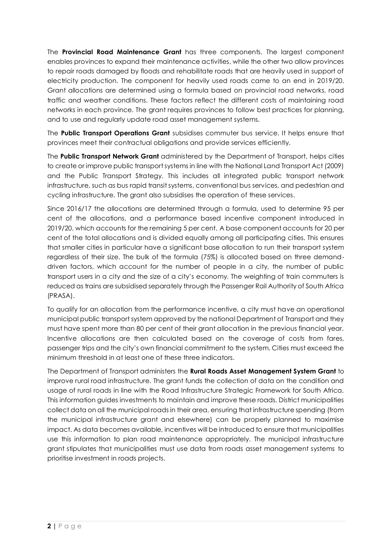The **Provincial Road Maintenance Grant** has three components. The largest component enables provinces to expand their maintenance activities, while the other two allow provinces to repair roads damaged by floods and rehabilitate roads that are heavily used in support of electricity production. The component for heavily used roads came to an end in 2019/20. Grant allocations are determined using a formula based on provincial road networks, road traffic and weather conditions. These factors reflect the different costs of maintaining road networks in each province. The grant requires provinces to follow best practices for planning, and to use and regularly update road asset management systems.

The **Public Transport Operations Grant** subsidises commuter bus service. It helps ensure that provinces meet their contractual obligations and provide services efficiently.

The **Public Transport Network Grant** administered by the Department of Transport, helps cities to create or improve public transport systems in line with the National Land Transport Act (2009) and the Public Transport Strategy. This includes all integrated public transport network infrastructure, such as bus rapid transit systems, conventional bus services, and pedestrian and cycling infrastructure. The grant also subsidises the operation of these services.

Since 2016/17 the allocations are determined through a formula, used to determine 95 per cent of the allocations, and a performance based incentive component introduced in 2019/20, which accounts for the remaining 5 per cent. A base component accounts for 20 per cent of the total allocations and is divided equally among all participating cities. This ensures that smaller cities in particular have a significant base allocation to run their transport system regardless of their size. The bulk of the formula (75%) is allocated based on three demanddriven factors, which account for the number of people in a city, the number of public transport users in a city and the size of a city's economy. The weighting of train commuters is reduced as trains are subsidised separately through the Passenger Rail Authority of South Africa (PRASA).

To qualify for an allocation from the performance incentive, a city must have an operational municipal public transport system approved by the national Department of Transport and they must have spent more than 80 per cent of their grant allocation in the previous financial year. Incentive allocations are then calculated based on the coverage of costs from fares, passenger trips and the city's own financial commitment to the system. Cities must exceed the minimum threshold in at least one of these three indicators.

The Department of Transport administers the **Rural Roads Asset Management System Grant** to improve rural road infrastructure. The grant funds the collection of data on the condition and usage of rural roads in line with the Road Infrastructure Strategic Framework for South Africa. This information guides investments to maintain and improve these roads. District municipalities collect data on all the municipal roads in their area, ensuring that infrastructure spending (from the municipal infrastructure grant and elsewhere) can be properly planned to maximise impact. As data becomes available, incentives will be introduced to ensure that municipalities use this information to plan road maintenance appropriately. The municipal infrastructure grant stipulates that municipalities must use data from roads asset management systems to prioritise investment in roads projects.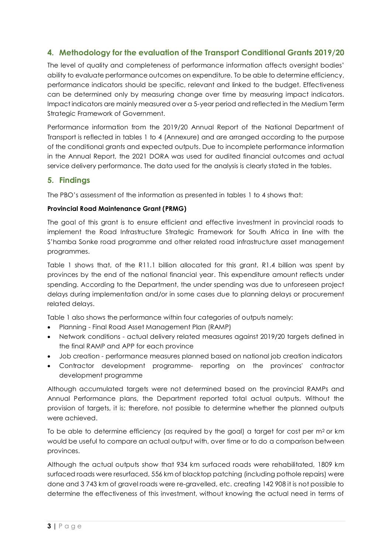## <span id="page-5-0"></span>**4. Methodology for the evaluation of the Transport Conditional Grants 2019/20**

The level of quality and completeness of performance information affects oversight bodies' ability to evaluate performance outcomes on expenditure. To be able to determine efficiency, performance indicators should be specific, relevant and linked to the budget. Effectiveness can be determined only by measuring change over time by measuring impact indicators. Impact indicators are mainly measured over a 5-year period and reflected in the Medium Term Strategic Framework of Government.

Performance information from the 2019/20 Annual Report of the National Department of Transport is reflected in tables 1 to 4 (Annexure) and are arranged according to the purpose of the conditional grants and expected outputs. Due to incomplete performance information in the Annual Report, the 2021 DORA was used for audited financial outcomes and actual service delivery performance. The data used for the analysis is clearly stated in the tables.

#### <span id="page-5-1"></span>**5. Findings**

The PBO's assessment of the information as presented in tables 1 to 4 shows that:

#### **Provincial Road Maintenance Grant (PRMG)**

The goal of this grant is to ensure efficient and effective investment in provincial roads to implement the Road Infrastructure Strategic Framework for South Africa in line with the S'hamba Sonke road programme and other related road infrastructure asset management programmes.

Table 1 shows that, of the R11.1 billion allocated for this grant, R1.4 billion was spent by provinces by the end of the national financial year. This expenditure amount reflects under spending. According to the Department, the under spending was due to unforeseen project delays during implementation and/or in some cases due to planning delays or procurement related delays.

Table 1 also shows the performance within four categories of outputs namely:

- Planning Final Road Asset Management Plan (RAMP)
- Network conditions actual delivery related measures against 2019/20 targets defined in the final RAMP and APP for each province
- Job creation performance measures planned based on national job creation indicators
- Contractor development programme- reporting on the provinces' contractor development programme

Although accumulated targets were not determined based on the provincial RAMPs and Annual Performance plans, the Department reported total actual outputs. Without the provision of targets, it is; therefore, not possible to determine whether the planned outputs were achieved.

To be able to determine efficiency (as required by the goal) a target for cost per  $m<sup>2</sup>$  or km would be useful to compare an actual output with, over time or to do a comparison between provinces.

Although the actual outputs show that 934 km surfaced roads were rehabilitated, 1809 km surfaced roads were resurfaced, 556 km of blacktop patching (including pothole repairs) were done and 3 743 km of gravel roads were re-gravelled, etc. creating 142 908 it is not possible to determine the effectiveness of this investment, without knowing the actual need in terms of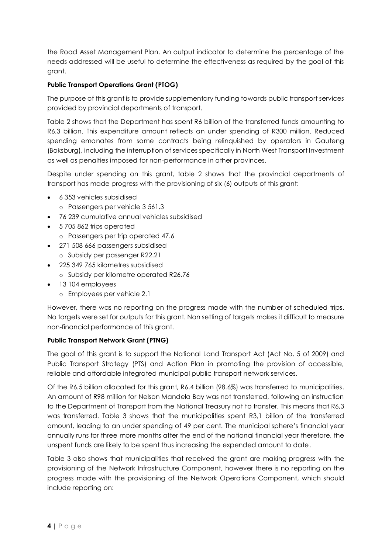the Road Asset Management Plan. An output indicator to determine the percentage of the needs addressed will be useful to determine the effectiveness as required by the goal of this grant.

#### **Public Transport Operations Grant (PTOG)**

The purpose of this grant is to provide supplementary funding towards public transport services provided by provincial departments of transport.

Table 2 shows that the Department has spent R6 billion of the transferred funds amounting to R6.3 billion. This expenditure amount reflects an under spending of R300 million. Reduced spending emanates from some contracts being relinquished by operators in Gauteng (Boksburg), including the interruption of services specifically in North West Transport Investment as well as penalties imposed for non-performance in other provinces.

Despite under spending on this grant, table 2 shows that the provincial departments of transport has made progress with the provisioning of six (6) outputs of this grant:

- 6 353 vehicles subsidised o Passengers per vehicle 3 561.3
- 76 239 cumulative annual vehicles subsidised
- 5705 862 trips operated
	- o Passengers per trip operated 47.6
- 271 508 666 passengers subsidised o Subsidy per passenger R22.21
- 225 349 765 kilometres subsidised
	- o Subsidy per kilometre operated R26.76
- 13 104 employees
	- o Employees per vehicle 2.1

However, there was no reporting on the progress made with the number of scheduled trips. No targets were set for outputs for this grant. Non setting of targets makes it difficult to measure non-financial performance of this grant.

#### **Public Transport Network Grant (PTNG)**

The goal of this grant is to support the National Land Transport Act (Act No. 5 of 2009) and Public Transport Strategy (PTS) and Action Plan in promoting the provision of accessible, reliable and affordable integrated municipal public transport network services.

Of the R6.5 billion allocated for this grant, R6.4 billion (98.6%) was transferred to municipalities. An amount of R98 million for Nelson Mandela Bay was not transferred, following an instruction to the Department of Transport from the National Treasury not to transfer. This means that R6,3 was transferred. Table 3 shows that the municipalities spent R3,1 billion of the transferred amount, leading to an under spending of 49 per cent. The municipal sphere's financial year annually runs for three more months after the end of the national financial year therefore, the unspent funds are likely to be spent thus increasing the expended amount to date.

Table 3 also shows that municipalities that received the grant are making progress with the provisioning of the Network Infrastructure Component, however there is no reporting on the progress made with the provisioning of the Network Operations Component, which should include reporting on: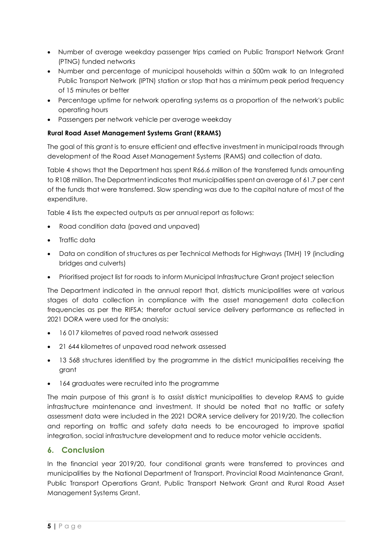- Number of average weekday passenger trips carried on Public Transport Network Grant (PTNG) funded networks
- Number and percentage of municipal households within a 500m walk to an Integrated Public Transport Network (IPTN) station or stop that has a minimum peak period frequency of 15 minutes or better
- Percentage uptime for network operating systems as a proportion of the network's public operating hours
- Passengers per network vehicle per average weekday

#### **Rural Road Asset Management Systems Grant (RRAMS)**

The goal of this grant is to ensure efficient and effective investment in municipal roads through development of the Road Asset Management Systems (RAMS) and collection of data.

Table 4 shows that the Department has spent R66.6 million of the transferred funds amounting to R108 million. The Department indicates that municipalities spent an average of 61.7 per cent of the funds that were transferred. Slow spending was due to the capital nature of most of the expenditure.

Table 4 lists the expected outputs as per annual report as follows:

- Road condition data (paved and unpaved)
- Traffic data
- Data on condition of structures as per Technical Methods for Highways (TMH) 19 (including bridges and culverts)
- Prioritised project list for roads to inform Municipal Infrastructure Grant project selection

The Department indicated in the annual report that, districts municipalities were at various stages of data collection in compliance with the asset management data collection frequencies as per the RIFSA; therefor actual service delivery performance as reflected in 2021 DORA were used for the analysis:

- 16 017 kilometres of paved road network assessed
- 21 644 kilometres of unpaved road network assessed
- 13 568 structures identified by the programme in the district municipalities receiving the grant
- 164 graduates were recruited into the programme

The main purpose of this grant is to assist district municipalities to develop RAMS to guide infrastructure maintenance and investment. It should be noted that no traffic or safety assessment data were included in the 2021 DORA service delivery for 2019/20. The collection and reporting on traffic and safety data needs to be encouraged to improve spatial integration, social infrastructure development and to reduce motor vehicle accidents.

### <span id="page-7-0"></span>**6. Conclusion**

In the financial year 2019/20, four conditional grants were transferred to provinces and municipalities by the National Department of Transport. Provincial Road Maintenance Grant, Public Transport Operations Grant, Public Transport Network Grant and Rural Road Asset Management Systems Grant.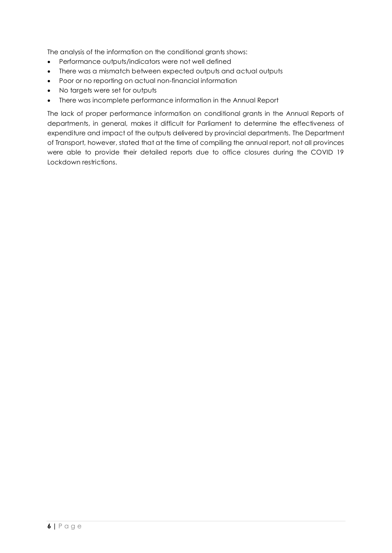The analysis of the information on the conditional grants shows:

- Performance outputs/indicators were not well defined
- There was a mismatch between expected outputs and actual outputs
- Poor or no reporting on actual non-financial information
- No targets were set for outputs
- There was incomplete performance information in the Annual Report

The lack of proper performance information on conditional grants in the Annual Reports of departments, in general, makes it difficult for Parliament to determine the effectiveness of expenditure and impact of the outputs delivered by provincial departments. The Department of Transport, however, stated that at the time of compiling the annual report, not all provinces were able to provide their detailed reports due to office closures during the COVID 19 Lockdown restrictions.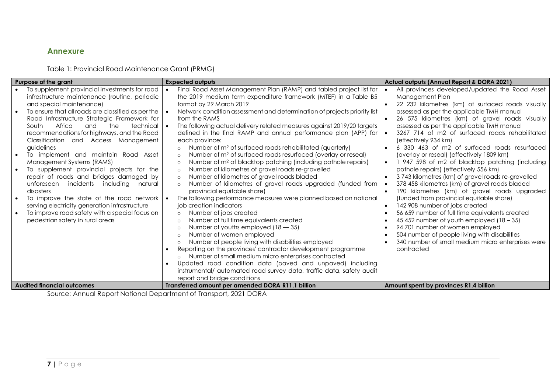## **Annexure**

Table 1: Provincial Road Maintenance Grant (PRMG)

| Purpose of the grant                                                                                                                                                                                                                                                                                                                                                                                                                                                                                                                                                                                                                                                                                                                                                                             | <b>Expected outputs</b>                                                                                                                                                                                                                                                                                                                                                                                                                                                                                                                                                                                                                                                                                                                                                                                                                                                                                                                                                                                                                                                                                                                                                                                                                                                                                                                                                                                                                                                                                                                                                                          | Actual outputs (Annual Report & DORA 2021)                                                                                                                                                                                                                                                                                                                                                                                                                                                                                                                                                                                                                                                                                                                                                                                                                                                                                                                                                                                                                                                                                                                          |
|--------------------------------------------------------------------------------------------------------------------------------------------------------------------------------------------------------------------------------------------------------------------------------------------------------------------------------------------------------------------------------------------------------------------------------------------------------------------------------------------------------------------------------------------------------------------------------------------------------------------------------------------------------------------------------------------------------------------------------------------------------------------------------------------------|--------------------------------------------------------------------------------------------------------------------------------------------------------------------------------------------------------------------------------------------------------------------------------------------------------------------------------------------------------------------------------------------------------------------------------------------------------------------------------------------------------------------------------------------------------------------------------------------------------------------------------------------------------------------------------------------------------------------------------------------------------------------------------------------------------------------------------------------------------------------------------------------------------------------------------------------------------------------------------------------------------------------------------------------------------------------------------------------------------------------------------------------------------------------------------------------------------------------------------------------------------------------------------------------------------------------------------------------------------------------------------------------------------------------------------------------------------------------------------------------------------------------------------------------------------------------------------------------------|---------------------------------------------------------------------------------------------------------------------------------------------------------------------------------------------------------------------------------------------------------------------------------------------------------------------------------------------------------------------------------------------------------------------------------------------------------------------------------------------------------------------------------------------------------------------------------------------------------------------------------------------------------------------------------------------------------------------------------------------------------------------------------------------------------------------------------------------------------------------------------------------------------------------------------------------------------------------------------------------------------------------------------------------------------------------------------------------------------------------------------------------------------------------|
| To supplement provincial investments for road<br>infrastructure maintenance (routine, periodic<br>and special maintenance)<br>To ensure that all roads are classified as per the<br>Road Infrastructure Strategic Framework for<br>Africa<br>the<br>South<br>and<br>technical<br>recommendations for highways, and the Road<br>Classification and Access Management<br>guidelines<br>To implement and maintain Road Asset<br>Management Systems (RAMS)<br>To supplement provincial projects for the<br>repair of roads and bridges damaged by<br>incidents<br>including<br>unforeseen<br>natural<br>disasters<br>To improve the state of the road network<br>serving electricity generation infrastructure<br>To improve road safety with a special focus on<br>pedestrian safety in rural areas | Final Road Asset Management Plan (RAMP) and tabled project list for<br>the 2019 medium term expenditure framework (MTEF) in a Table B5<br>format by 29 March 2019<br>Network condition assessment and determination of projects priority list<br>from the RAMS<br>The following actual delivery related measures against 2019/20 targets<br>defined in the final RAMP and annual performance plan (APP) for<br>each province:<br>Number of m <sup>2</sup> of surfaced roads rehabilitated (quarterly)<br>$\circ$<br>Number of m <sup>2</sup> of surfaced roads resurfaced (overlay or reseal)<br>$\circ$<br>Number of m <sup>2</sup> of blacktop patching (including pothole repairs)<br>$\circ$<br>Number of kilometres of gravel roads re-gravelled<br>$\circ$<br>Number of kilometres of gravel roads bladed<br>$\circ$<br>Number of kilometres of gravel roads upgraded (funded from<br>$\circ$<br>provincial equitable share)<br>The following performance measures were planned based on national<br>job creation indicators<br>Number of jobs created<br>$\circ$<br>Number of full time equivalents created<br>$\circ$<br>Number of youths employed $(18 - 35)$<br>$\cap$<br>Number of women employed<br>$\circ$<br>Number of people living with disabilities employed<br>$\Omega$<br>Reporting on the provinces' contractor development programme<br>Number of small medium micro enterprises contracted<br>$\circ$<br>Updated road condition data (paved and unpaved) including<br>instrumental/ automated road survey data, traffic data, safety audit<br>report and bridge conditions | All provinces developed/updated the Road Asset<br>$\bullet$<br>Management Plan<br>22 232 kilometres (km) of surfaced roads visually<br>$\bullet$<br>assessed as per the applicable TMH manual<br>26 575 kilometres (km) of gravel roads visually<br>$\bullet$<br>assessed as per the applicable TMH manual<br>3267 714 of m2 of surfaced roads rehabilitated<br>$\bullet$<br>(effectively 934 km)<br>6 330 463 of m2 of surfaced roads resurfaced<br>$\bullet$<br>(overlay or reseal) (effectively 1809 km)<br>947 598 of m2 of blacktop patching (including<br>$\bullet$<br>pothole repairs) (effectively 556 km)<br>3743 kilometres (km) of gravel roads re-gravelled<br>$\bullet$<br>378 458 kilometres (km) of gravel roads bladed<br>$\bullet$<br>190 kilometres (km) of gravel roads upgraded<br>$\bullet$<br>(funded from provincial equitable share)<br>142 908 number of jobs created<br>$\bullet$<br>56 659 number of full time equivalents created<br>45 452 number of youth employed $(18 - 35)$<br>94 701 number of women employed<br>504 number of people living with disabilities<br>340 number of small medium micro enterprises were<br>contracted |
| <b>Audited financial outcomes</b>                                                                                                                                                                                                                                                                                                                                                                                                                                                                                                                                                                                                                                                                                                                                                                | Transferred amount per amended DORA R11.1 billion                                                                                                                                                                                                                                                                                                                                                                                                                                                                                                                                                                                                                                                                                                                                                                                                                                                                                                                                                                                                                                                                                                                                                                                                                                                                                                                                                                                                                                                                                                                                                | Amount spent by provinces R1.4 billion                                                                                                                                                                                                                                                                                                                                                                                                                                                                                                                                                                                                                                                                                                                                                                                                                                                                                                                                                                                                                                                                                                                              |

<span id="page-9-0"></span>Source: Annual Report National Department of Transport, 2021 DORA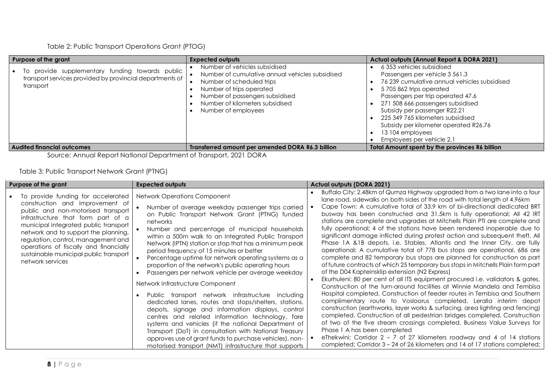Table 2: Public Transport Operations Grant (PTOG)

| Purpose of the grant                                                                                                        | <b>Expected outputs</b>                                                                                                                                                                                                                | <b>Actual outputs (Annual Report &amp; DORA 2021)</b>                                                                                                                                                                                                                                                                                                                         |
|-----------------------------------------------------------------------------------------------------------------------------|----------------------------------------------------------------------------------------------------------------------------------------------------------------------------------------------------------------------------------------|-------------------------------------------------------------------------------------------------------------------------------------------------------------------------------------------------------------------------------------------------------------------------------------------------------------------------------------------------------------------------------|
| provide supplementary funding towards public<br>To<br>transport services provided by provincial departments of<br>transport | Number of vehicles subsidised<br>Number of cumulative annual vehicles subsidised<br>Number of scheduled trips<br>Number of trips operated<br>Number of passengers subsidised<br>Number of kilometers subsidised<br>Number of employees | 6353 vehicles subsidised<br>Passengers per vehicle 3 561.3<br>76 239 cumulative annual vehicles subsidised<br>5705862 trips operated<br>Passengers per trip operated 47.6<br>271 508 666 passengers subsidised<br>Subsidy per passenger R22.21<br>225 349 765 kilometers subsidised<br>Subsidy per kilometer operated R26.76<br>13 104 employees<br>Employees per vehicle 2.1 |
| <b>Audited financial outcomes</b>                                                                                           | Transferred amount per amended DORA R6.3 billion                                                                                                                                                                                       | <b>Total Amount spent by the provinces R6 billion</b>                                                                                                                                                                                                                                                                                                                         |

Source: Annual Report National Department of Transport, 2021 DORA

Table 3: Public Transport Network Grant (PTNG)

| Purpose of the grant                                                                                                                                                                                                                                                                                                                                                              | <b>Expected outputs</b>                                                                                                                                                                                                                                                                                                                                                                                                                                                                                                                                                                                                                                                                                                                                                                                                                                                                                                                                                                                                              | <b>Actual outputs (DORA 2021)</b>                                                                                                                                                                                                                                                                                                                                                                                                                                                                                                                                                                                                                                                                                                                                                                                                                                                                                                                                                                                                                                                                                                                                                                                                                                                                                                                                                                                                                                                                                                                                                                                                                                                              |
|-----------------------------------------------------------------------------------------------------------------------------------------------------------------------------------------------------------------------------------------------------------------------------------------------------------------------------------------------------------------------------------|--------------------------------------------------------------------------------------------------------------------------------------------------------------------------------------------------------------------------------------------------------------------------------------------------------------------------------------------------------------------------------------------------------------------------------------------------------------------------------------------------------------------------------------------------------------------------------------------------------------------------------------------------------------------------------------------------------------------------------------------------------------------------------------------------------------------------------------------------------------------------------------------------------------------------------------------------------------------------------------------------------------------------------------|------------------------------------------------------------------------------------------------------------------------------------------------------------------------------------------------------------------------------------------------------------------------------------------------------------------------------------------------------------------------------------------------------------------------------------------------------------------------------------------------------------------------------------------------------------------------------------------------------------------------------------------------------------------------------------------------------------------------------------------------------------------------------------------------------------------------------------------------------------------------------------------------------------------------------------------------------------------------------------------------------------------------------------------------------------------------------------------------------------------------------------------------------------------------------------------------------------------------------------------------------------------------------------------------------------------------------------------------------------------------------------------------------------------------------------------------------------------------------------------------------------------------------------------------------------------------------------------------------------------------------------------------------------------------------------------------|
| To provide funding for accelerated<br>construction and improvement of<br>public and non-motorised transport<br>infrastructure that form part of a<br>municipal integrated public transport<br>network and to support the planning,<br>regulation, control, management and<br>operations of fiscally and financially<br>sustainable municipal public transport<br>network services | Network Operations Component<br>Number of average weekday passenger trips carried<br>on Public Transport Network Grant (PTNG) funded<br>networks<br>Number and percentage of municipal households<br>within a 500m walk to an Integrated Public Transport<br>Network (IPTN) station or stop that has a minimum peak<br>period frequency of 15 minutes or better<br>Percentage uptime for network operating systems as a<br>proportion of the network's public operating hours<br>Passengers per network vehicle per average weekday<br>Network Infrastructure Component<br>Public transport network infrastructure including<br>dedicated lanes, routes and stops/shelters, stations,<br>depots, signage and information displays, control<br>centres and related information technology, fare<br>systems and vehicles (if the national Department of<br>Transport (DoT) in consultation with National Treasury<br>approves use of grant funds to purchase vehicles), non-<br>motorised transport (NMT) infrastructure that supports | Buffalo City: 2.48km of Qumza Highway upgraded from a two lane into a four<br>lane road, sidewalks on both sides of the road with total length of 4.96km<br>Cape Town: A cumulative total of 33.9 km of bi-directional dedicated BRT<br>busway has been constructed and 31.5km is fully operational; All 42 IRT<br>stations are complete and upgrades at Mitchells Plain PTI are complete and<br>fully operational; 4 of the stations have been rendered inoperable due to<br>significant damage inflicted during protest action and subsequent theft, All<br>Phase 1A &1B depots, i.e. Stables, Atlantis and the Inner City, are fully<br>operational; A cumulative total of 778 bus stops are operational, 686 are<br>complete and 82 temporary bus stops are planned for construction as part<br>of future contracts of which 25 temporary bus stops in Mitchells Plain form part<br>of the D04 Kapteinsklip extension (N2 Express)<br>Ekurhuleni: 80 per cent of all ITS equipment procured i.e. validators & gates,<br>Construction of the turn-around facilities at Winnie Mandela and Tembisa<br>Hospital completed. Construction of feeder routes in Tembisa and Southern<br>complimentary route to Vosloorus completed. Leralla interim depot<br>construction (earthworks, layer works & surfacing, area lighting and fencing)<br>completed. Construction of all pedestrian bridges completed, Construction<br>of two of the five stream crossings completed. Business Value Surveys for<br>Phase 1 A has been completed<br>eThekwini: Corridor $2 - 7$ of 27 kilometers roadway and 4 of 14 stations<br>completed; Corridor 3 – 24 of 26 kilometers and 14 of 17 stations completed; |